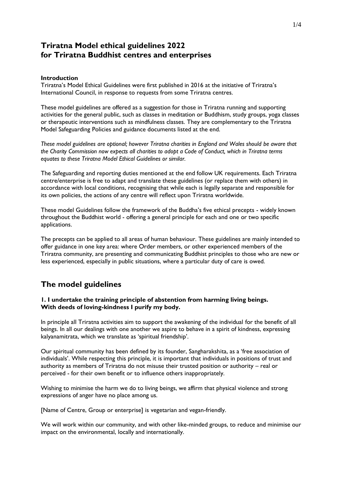# **Triratna Model ethical guidelines 2022 for Triratna Buddhist centres and enterprises**

#### **Introduction**

Triratna's Model Ethical Guidelines were first published in 2016 at the initiative of Triratna's International Council, in response to requests from some Triratna centres.

These model guidelines are offered as a suggestion for those in Triratna running and supporting activities for the general public, such as classes in meditation or Buddhism, study groups, yoga classes or therapeutic interventions such as mindfulness classes. They are complementary to the Triratna Model Safeguarding Policies and guidance documents listed at the end.

*These model guidelines are optional; however Triratna charities in England and Wales should be aware that the Charity Commission now expects all charities to adopt a Code of Conduct, which in Triratna terms equates to these Triratna Model Ethical Guidelines or similar.*

The Safeguarding and reporting duties mentioned at the end follow UK requirements. Each Triratna centre/enterprise is free to adapt and translate these guidelines (or replace them with others) in accordance with local conditions, recognising that while each is legally separate and responsible for its own policies, the actions of any centre will reflect upon Triratna worldwide.

These model Guidelines follow the framework of the Buddha's five ethical precepts - widely known throughout the Buddhist world - offering a general principle for each and one or two specific applications.

The precepts can be applied to all areas of human behaviour. These guidelines are mainly intended to offer guidance in one key area: where Order members, or other experienced members of the Triratna community, are presenting and communicating Buddhist principles to those who are new or less experienced, especially in public situations, where a particular duty of care is owed.

# **The model guidelines**

### **1. I undertake the training principle of abstention from harming living beings. With deeds of loving-kindness I purify my body.**

In principle all Triratna activities aim to support the awakening of the individual for the benefit of all beings. In all our dealings with one another we aspire to behave in a spirit of kindness, expressing kalyanamitrata, which we translate as 'spiritual friendship'.

Our spiritual community has been defined by its founder, Sangharakshita, as a 'free association of individuals'. While respecting this principle, it is important that individuals in positions of trust and authority as members of Triratna do not misuse their trusted position or authority – real or perceived - for their own benefit or to influence others inappropriately.

Wishing to minimise the harm we do to living beings, we affirm that physical violence and strong expressions of anger have no place among us.

[Name of Centre, Group or enterprise] is vegetarian and vegan-friendly.

We will work within our community, and with other like-minded groups, to reduce and minimise our impact on the environmental, locally and internationally.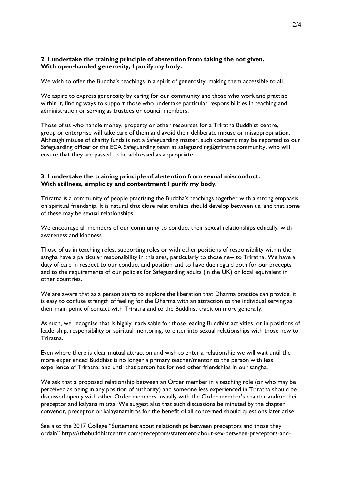# **2. I undertake the training principle of abstention from taking the not given. With open-handed generosity, I purify my body.**

We wish to offer the Buddha's teachings in a spirit of generosity, making them accessible to all.

We aspire to express generosity by caring for our community and those who work and practise within it, finding ways to support those who undertake particular responsibilities in teaching and administration or serving as trustees or council members.

Those of us who handle money, property or other resources for a Triratna Buddhist centre, group or enterprise will take care of them and avoid their deliberate misuse or misappropriation. Although misuse of charity funds is not a Safeguarding matter, such concerns may be reported to our Safeguarding officer or the ECA Safeguarding team at [safeguarding@triratna.community,](mailto:safeguarding@triratna.community) who will ensure that they are passed to be addressed as appropriate.

### **3. I undertake the training principle of abstention from sexual misconduct. With stillness, simplicity and contentment I purify my body.**

Triratna is a community of people practising the Buddha's teachings together with a strong emphasis on spiritual friendship. It is natural that close relationships should develop between us, and that some of these may be sexual relationships.

We encourage all members of our community to conduct their sexual relationships ethically, with awareness and kindness.

Those of us in teaching roles, supporting roles or with other positions of responsibility within the sangha have a particular responsibility in this area, particularly to those new to Triratna. We have a duty of care in respect to our conduct and position and to have due regard both for our precepts and to the requirements of our policies for Safeguarding adults (in the UK) or local equivalent in other countries.

We are aware that as a person starts to explore the liberation that Dharma practice can provide, it is easy to confuse strength of feeling for the Dharma with an attraction to the individual serving as their main point of contact with Triratna and to the Buddhist tradition more generally.

As such, we recognise that is highly inadvisable for those leading Buddhist activities, or in positions of leadership, responsibility or spiritual mentoring, to enter into sexual relationships with those new to Triratna.

Even where there is clear mutual attraction and wish to enter a relationship we will wait until the more experienced Buddhist is no longer a primary teacher/mentor to the person with less experience of Triratna, and until that person has formed other friendships in our sangha.

We ask that a proposed relationship between an Order member in a teaching role (or who may be perceived as being in any position of authority) and someone less experienced in Triratna should be discussed openly with other Order members; usually with the Order member's chapter and/or their preceptor and kalyana mitras. We suggest also that such discussions be minuted by the chapter convenor, preceptor or kalayanamitras for the benefit of all concerned should questions later arise.

See also the 2017 College "Statement about relationships between preceptors and those they ordain" [https://thebuddhistcentre.com/preceptors/statement-about-sex-between-preceptors-and-](https://thebuddhistcentre.com/preceptors/statement-about-sex-between-preceptors-and-those-they-ordain-preceptors-college)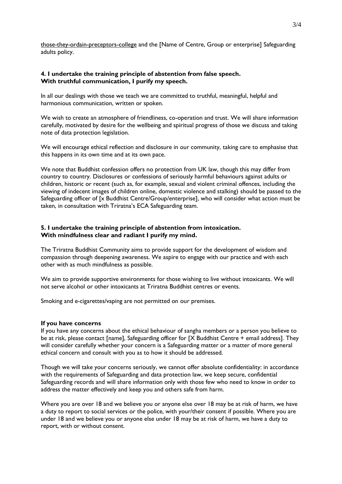[those-they-ordain-preceptors-college](https://thebuddhistcentre.com/preceptors/statement-about-sex-between-preceptors-and-those-they-ordain-preceptors-college) and the [Name of Centre, Group or enterprise] Safeguarding adults policy.

### **4. I undertake the training principle of abstention from false speech. With truthful communication, I purify my speech.**

In all our dealings with those we teach we are committed to truthful, meaningful, helpful and harmonious communication, written or spoken.

We wish to create an atmosphere of friendliness, co-operation and trust. We will share information carefully, motivated by desire for the wellbeing and spiritual progress of those we discuss and taking note of data protection legislation.

We will encourage ethical reflection and disclosure in our community, taking care to emphasise that this happens in its own time and at its own pace.

We note that Buddhist confession offers no protection from UK law, though this may differ from country to country. Disclosures or confessions of seriously harmful behaviours against adults or children, historic or recent (such as, for example, sexual and violent criminal offences, including the viewing of indecent images of children online, domestic violence and stalking) should be passed to the Safeguarding officer of [x Buddhist Centre/Group/enterprise], who will consider what action must be taken, in consultation with Triratna's ECA Safeguarding team.

# **5. I undertake the training principle of abstention from intoxication. With mindfulness clear and radiant I purify my mind.**

The Triratna Buddhist Community aims to provide support for the development of wisdom and compassion through deepening awareness. We aspire to engage with our practice and with each other with as much mindfulness as possible.

We aim to provide supportive environments for those wishing to live without intoxicants. We will not serve alcohol or other intoxicants at Triratna Buddhist centres or events.

Smoking and e-cigarettes/vaping are not permitted on our premises.

#### **If you have concerns**

If you have any concerns about the ethical behaviour of sangha members or a person you believe to be at risk, please contact [name], Safeguarding officer for [X Buddhist Centre + email address]. They will consider carefully whether your concern is a Safeguarding matter or a matter of more general ethical concern and consult with you as to how it should be addressed.

Though we will take your concerns seriously, we cannot offer absolute confidentiality: in accordance with the requirements of Safeguarding and data protection law, we keep secure, confidential Safeguarding records and will share information only with those few who need to know in order to address the matter effectively and keep you and others safe from harm.

Where you are over 18 and we believe you or anyone else over 18 may be at risk of harm, we have a duty to report to social services or the police, with your/their consent if possible. Where you are under 18 and we believe you or anyone else under 18 may be at risk of harm, we have a duty to report, with or without consent.